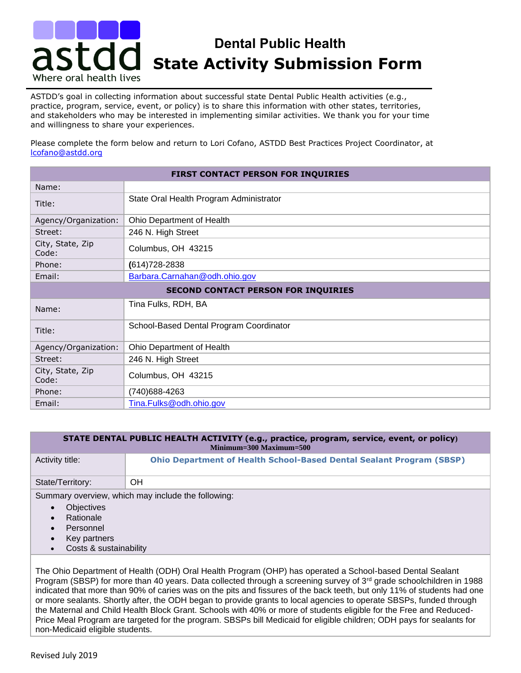# **Dental Public Health**  Dental Public Health<br>**asted State Activity Submission Form** Where oral health lives

ASTDD's goal in collecting information about successful state Dental Public Health activities (e.g., practice, program, service, event, or policy) is to share this information with other states, territories, and stakeholders who may be interested in implementing similar activities. We thank you for your time and willingness to share your experiences.

Please complete the form below and return to Lori Cofano, ASTDD Best Practices Project Coordinator, at [lcofano@astdd.org](mailto:lcofano@astdd.org)

| FIRST CONTACT PERSON FOR INQUIRIES         |                                         |  |
|--------------------------------------------|-----------------------------------------|--|
| Name:                                      |                                         |  |
| Title:                                     | State Oral Health Program Administrator |  |
| Agency/Organization:                       | Ohio Department of Health               |  |
| Street:                                    | 246 N. High Street                      |  |
| City, State, Zip<br>Code:                  | Columbus, OH 43215                      |  |
| Phone:                                     | $(614)728 - 2838$                       |  |
| Email:                                     | Barbara.Carnahan@odh.ohio.gov           |  |
| <b>SECOND CONTACT PERSON FOR INQUIRIES</b> |                                         |  |
| Name:                                      | Tina Fulks, RDH, BA                     |  |
| Title:                                     | School-Based Dental Program Coordinator |  |
| Agency/Organization:                       | Ohio Department of Health               |  |
| Street:                                    | 246 N. High Street                      |  |
| City, State, Zip<br>Code:                  | Columbus, OH 43215                      |  |
| Phone:                                     | (740) 688-4263                          |  |
| Email:                                     | Tina.Fulks@odh.ohio.gov                 |  |

#### **STATE DENTAL PUBLIC HEALTH ACTIVITY (e.g., practice, program, service, event, or policy) Minimum=300 Maximum=500**

| Activity title:                                    | <b>Ohio Department of Health School-Based Dental Sealant Program (SBSP)</b> |
|----------------------------------------------------|-----------------------------------------------------------------------------|
| State/Territory:                                   | OН                                                                          |
| Summary overview, which may include the following: |                                                                             |

- **Objectives**
- **Rationale**
- **Personnel**
- Key partners
- Costs & sustainability

The Ohio Department of Health (ODH) Oral Health Program (OHP) has operated a School-based Dental Sealant Program (SBSP) for more than 40 years. Data collected through a screening survey of  $3<sup>rd</sup>$  grade schoolchildren in 1988 indicated that more than 90% of caries was on the pits and fissures of the back teeth, but only 11% of students had one or more sealants. Shortly after, the ODH began to provide grants to local agencies to operate SBSPs, funded through the Maternal and Child Health Block Grant. Schools with 40% or more of students eligible for the Free and Reduced-Price Meal Program are targeted for the program. SBSPs bill Medicaid for eligible children; ODH pays for sealants for non-Medicaid eligible students.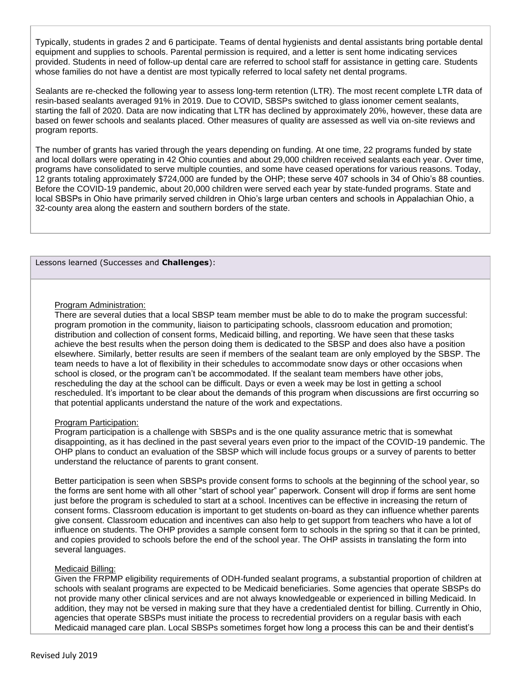Typically, students in grades 2 and 6 participate. Teams of dental hygienists and dental assistants bring portable dental equipment and supplies to schools. Parental permission is required, and a letter is sent home indicating services provided. Students in need of follow-up dental care are referred to school staff for assistance in getting care. Students whose families do not have a dentist are most typically referred to local safety net dental programs.

Sealants are re-checked the following year to assess long-term retention (LTR). The most recent complete LTR data of resin-based sealants averaged 91% in 2019. Due to COVID, SBSPs switched to glass ionomer cement sealants, starting the fall of 2020. Data are now indicating that LTR has declined by approximately 20%, however, these data are based on fewer schools and sealants placed. Other measures of quality are assessed as well via on-site reviews and program reports.

The number of grants has varied through the years depending on funding. At one time, 22 programs funded by state and local dollars were operating in 42 Ohio counties and about 29,000 children received sealants each year. Over time, programs have consolidated to serve multiple counties, and some have ceased operations for various reasons. Today, 12 grants totaling approximately \$724,000 are funded by the OHP; these serve 407 schools in 34 of Ohio's 88 counties. Before the COVID-19 pandemic, about 20,000 children were served each year by state-funded programs. State and local SBSPs in Ohio have primarily served children in Ohio's large urban centers and schools in Appalachian Ohio, a 32-county area along the eastern and southern borders of the state.

### Lessons learned (Successes and **Challenges**):

#### Program Administration:

There are several duties that a local SBSP team member must be able to do to make the program successful: program promotion in the community, liaison to participating schools, classroom education and promotion; distribution and collection of consent forms, Medicaid billing, and reporting. We have seen that these tasks achieve the best results when the person doing them is dedicated to the SBSP and does also have a position elsewhere. Similarly, better results are seen if members of the sealant team are only employed by the SBSP. The team needs to have a lot of flexibility in their schedules to accommodate snow days or other occasions when school is closed, or the program can't be accommodated. If the sealant team members have other jobs, rescheduling the day at the school can be difficult. Days or even a week may be lost in getting a school rescheduled. It's important to be clear about the demands of this program when discussions are first occurring so that potential applicants understand the nature of the work and expectations.

## Program Participation:

Program participation is a challenge with SBSPs and is the one quality assurance metric that is somewhat disappointing, as it has declined in the past several years even prior to the impact of the COVID-19 pandemic. The OHP plans to conduct an evaluation of the SBSP which will include focus groups or a survey of parents to better understand the reluctance of parents to grant consent.

Better participation is seen when SBSPs provide consent forms to schools at the beginning of the school year, so the forms are sent home with all other "start of school year" paperwork. Consent will drop if forms are sent home just before the program is scheduled to start at a school. Incentives can be effective in increasing the return of consent forms. Classroom education is important to get students on-board as they can influence whether parents give consent. Classroom education and incentives can also help to get support from teachers who have a lot of influence on students. The OHP provides a sample consent form to schools in the spring so that it can be printed, and copies provided to schools before the end of the school year. The OHP assists in translating the form into several languages.

### Medicaid Billing:

Given the FRPMP eligibility requirements of ODH-funded sealant programs, a substantial proportion of children at schools with sealant programs are expected to be Medicaid beneficiaries. Some agencies that operate SBSPs do not provide many other clinical services and are not always knowledgeable or experienced in billing Medicaid. In addition, they may not be versed in making sure that they have a credentialed dentist for billing. Currently in Ohio, agencies that operate SBSPs must initiate the process to recredential providers on a regular basis with each Medicaid managed care plan. Local SBSPs sometimes forget how long a process this can be and their dentist's